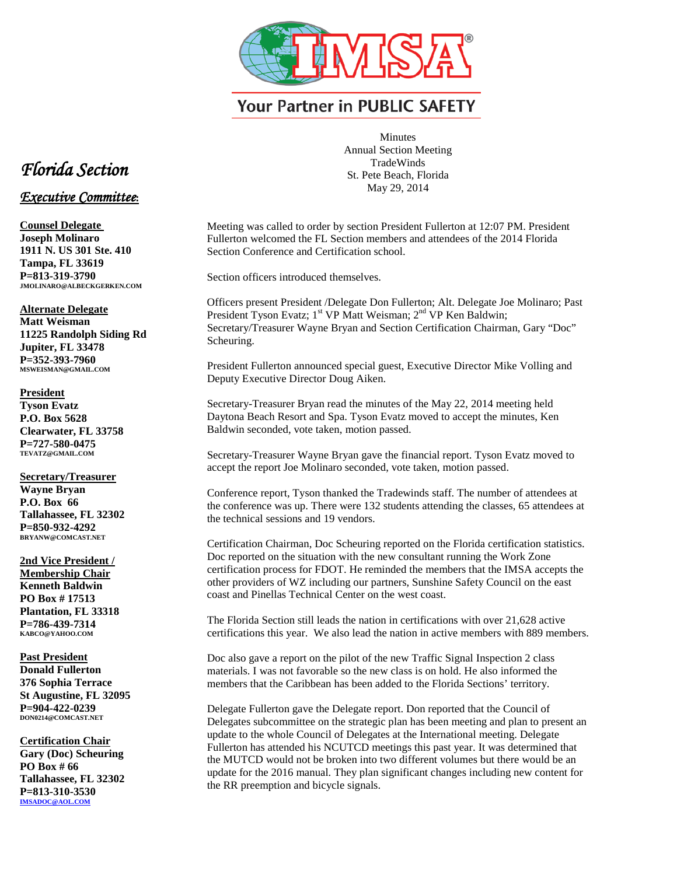

**Your Partner in PUBLIC SAFETY** 

Minutes Annual Section Meeting **TradeWinds** St. Pete Beach, Florida May 29, 2014

Meeting was called to order by section President Fullerton at 12:07 PM. President Fullerton welcomed the FL Section members and attendees of the 2014 Florida Section Conference and Certification school.

Section officers introduced themselves.

Officers present President /Delegate Don Fullerton; Alt. Delegate Joe Molinaro; Past President Tyson Evatz; 1<sup>st</sup> VP Matt Weisman; 2<sup>nd</sup> VP Ken Baldwin; Secretary/Treasurer Wayne Bryan and Section Certification Chairman, Gary "Doc" Scheuring.

President Fullerton announced special guest, Executive Director Mike Volling and Deputy Executive Director Doug Aiken.

Secretary-Treasurer Bryan read the minutes of the May 22, 2014 meeting held Daytona Beach Resort and Spa. Tyson Evatz moved to accept the minutes, Ken Baldwin seconded, vote taken, motion passed.

Secretary-Treasurer Wayne Bryan gave the financial report. Tyson Evatz moved to accept the report Joe Molinaro seconded, vote taken, motion passed.

Conference report, Tyson thanked the Tradewinds staff. The number of attendees at the conference was up. There were 132 students attending the classes, 65 attendees at the technical sessions and 19 vendors.

Certification Chairman, Doc Scheuring reported on the Florida certification statistics. Doc reported on the situation with the new consultant running the Work Zone certification process for FDOT. He reminded the members that the IMSA accepts the other providers of WZ including our partners, Sunshine Safety Council on the east coast and Pinellas Technical Center on the west coast.

The Florida Section still leads the nation in certifications with over 21,628 active certifications this year. We also lead the nation in active members with 889 members.

Doc also gave a report on the pilot of the new Traffic Signal Inspection 2 class materials. I was not favorable so the new class is on hold. He also informed the members that the Caribbean has been added to the Florida Sections' territory.

Delegate Fullerton gave the Delegate report. Don reported that the Council of Delegates subcommittee on the strategic plan has been meeting and plan to present an update to the whole Council of Delegates at the International meeting. Delegate Fullerton has attended his NCUTCD meetings this past year. It was determined that the MUTCD would not be broken into two different volumes but there would be an update for the 2016 manual. They plan significant changes including new content for the RR preemption and bicycle signals.

## *Florida Section*

## *Executive Committee***:**

**Counsel Delegate Joseph Molinaro 1911 N. US 301 Ste. 410 Tampa, FL 33619 P=813-319-3790 JMOLINARO@ALBECKGERKEN.COM**

**Alternate Delegate Matt Weisman 11225 Randolph Siding Rd Jupiter, FL 33478 P=352-393-7960 MSWEISMAN@GMAIL.COM**

**President Tyson Evatz P.O. Box 5628 Clearwater, FL 33758 P=727-580-0475 TEVATZ@GMAIL.COM**

**Secretary/Treasurer Wayne Bryan P.O. Box 66 Tallahassee, FL 32302 P=850-932-4292 BRYANW@COMCAST.NET**

**2nd Vice President / Membership Chair Kenneth Baldwin PO Box # 17513 Plantation, FL 33318 P=786-439-7314 KABCO@YAHOO.COM**

**Past President Donald Fullerton 376 Sophia Terrace St Augustine, FL 32095 P=904-422-0239 DON0214@COMCAST.NET**

**Certification Chair Gary (Doc) Scheuring PO Box # 66 Tallahassee, FL 32302 P=813-310-3530 [IMSADOC@AOL.COM](mailto:IMSADOC@AOL.COM)**